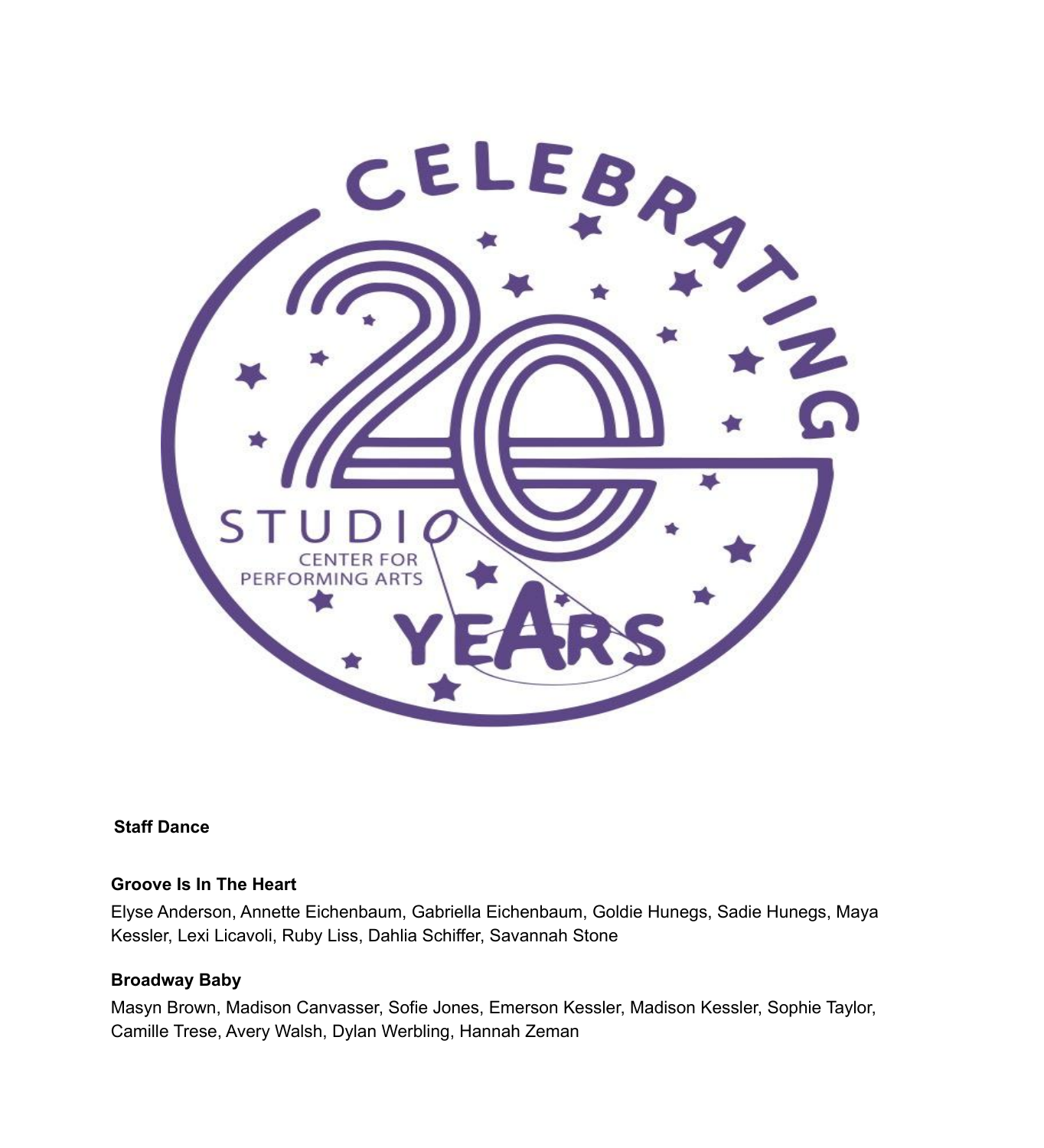

#### **Staff Dance**

### **Groove Is In The Heart**

Elyse Anderson, Annette Eichenbaum, Gabriella Eichenbaum, Goldie Hunegs, Sadie Hunegs, Maya Kessler, Lexi Licavoli, Ruby Liss, Dahlia Schiffer, Savannah Stone

### **Broadway Baby**

Masyn Brown, Madison Canvasser, Sofie Jones, Emerson Kessler, Madison Kessler, Sophie Taylor, Camille Trese, Avery Walsh, Dylan Werbling, Hannah Zeman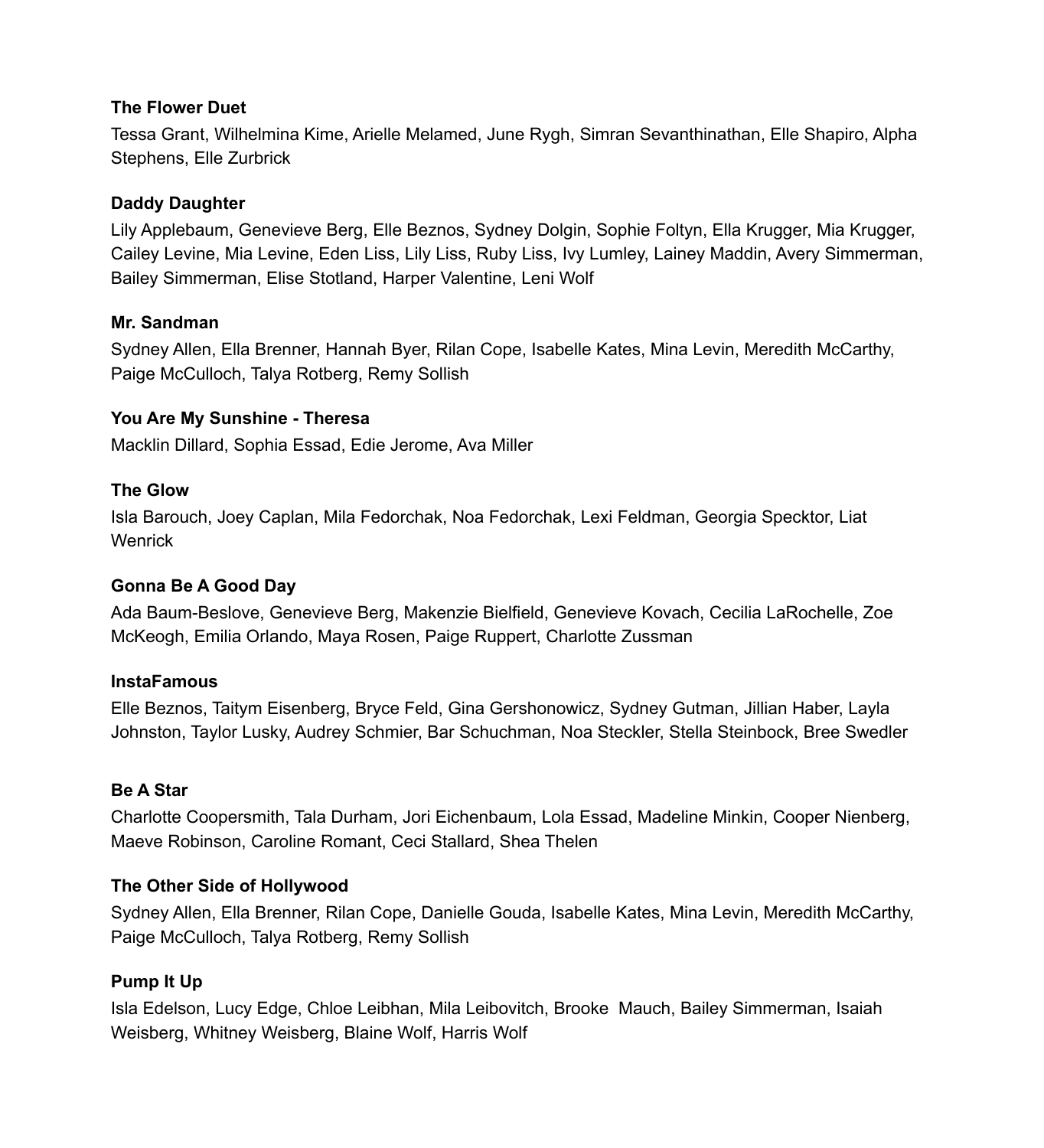#### **The Flower Duet**

Tessa Grant, Wilhelmina Kime, Arielle Melamed, June Rygh, Simran Sevanthinathan, Elle Shapiro, Alpha Stephens, Elle Zurbrick

### **Daddy Daughter**

Lily Applebaum, Genevieve Berg, Elle Beznos, Sydney Dolgin, Sophie Foltyn, Ella Krugger, Mia Krugger, Cailey Levine, Mia Levine, Eden Liss, Lily Liss, Ruby Liss, Ivy Lumley, Lainey Maddin, Avery Simmerman, Bailey Simmerman, Elise Stotland, Harper Valentine, Leni Wolf

### **Mr. Sandman**

Sydney Allen, Ella Brenner, Hannah Byer, Rilan Cope, Isabelle Kates, Mina Levin, Meredith McCarthy, Paige McCulloch, Talya Rotberg, Remy Sollish

## **You Are My Sunshine - Theresa**

Macklin Dillard, Sophia Essad, Edie Jerome, Ava Miller

## **The Glow**

Isla Barouch, Joey Caplan, Mila Fedorchak, Noa Fedorchak, Lexi Feldman, Georgia Specktor, Liat **Wenrick** 

## **Gonna Be A Good Day**

Ada Baum-Beslove, Genevieve Berg, Makenzie Bielfield, Genevieve Kovach, Cecilia LaRochelle, Zoe McKeogh, Emilia Orlando, Maya Rosen, Paige Ruppert, Charlotte Zussman

### **InstaFamous**

Elle Beznos, Taitym Eisenberg, Bryce Feld, Gina Gershonowicz, Sydney Gutman, Jillian Haber, Layla Johnston, Taylor Lusky, Audrey Schmier, Bar Schuchman, Noa Steckler, Stella Steinbock, Bree Swedler

### **Be A Star**

Charlotte Coopersmith, Tala Durham, Jori Eichenbaum, Lola Essad, Madeline Minkin, Cooper Nienberg, Maeve Robinson, Caroline Romant, Ceci Stallard, Shea Thelen

## **The Other Side of Hollywood**

Sydney Allen, Ella Brenner, Rilan Cope, Danielle Gouda, Isabelle Kates, Mina Levin, Meredith McCarthy, Paige McCulloch, Talya Rotberg, Remy Sollish

## **Pump It Up**

Isla Edelson, Lucy Edge, Chloe Leibhan, Mila Leibovitch, Brooke Mauch, Bailey Simmerman, Isaiah Weisberg, Whitney Weisberg, Blaine Wolf, Harris Wolf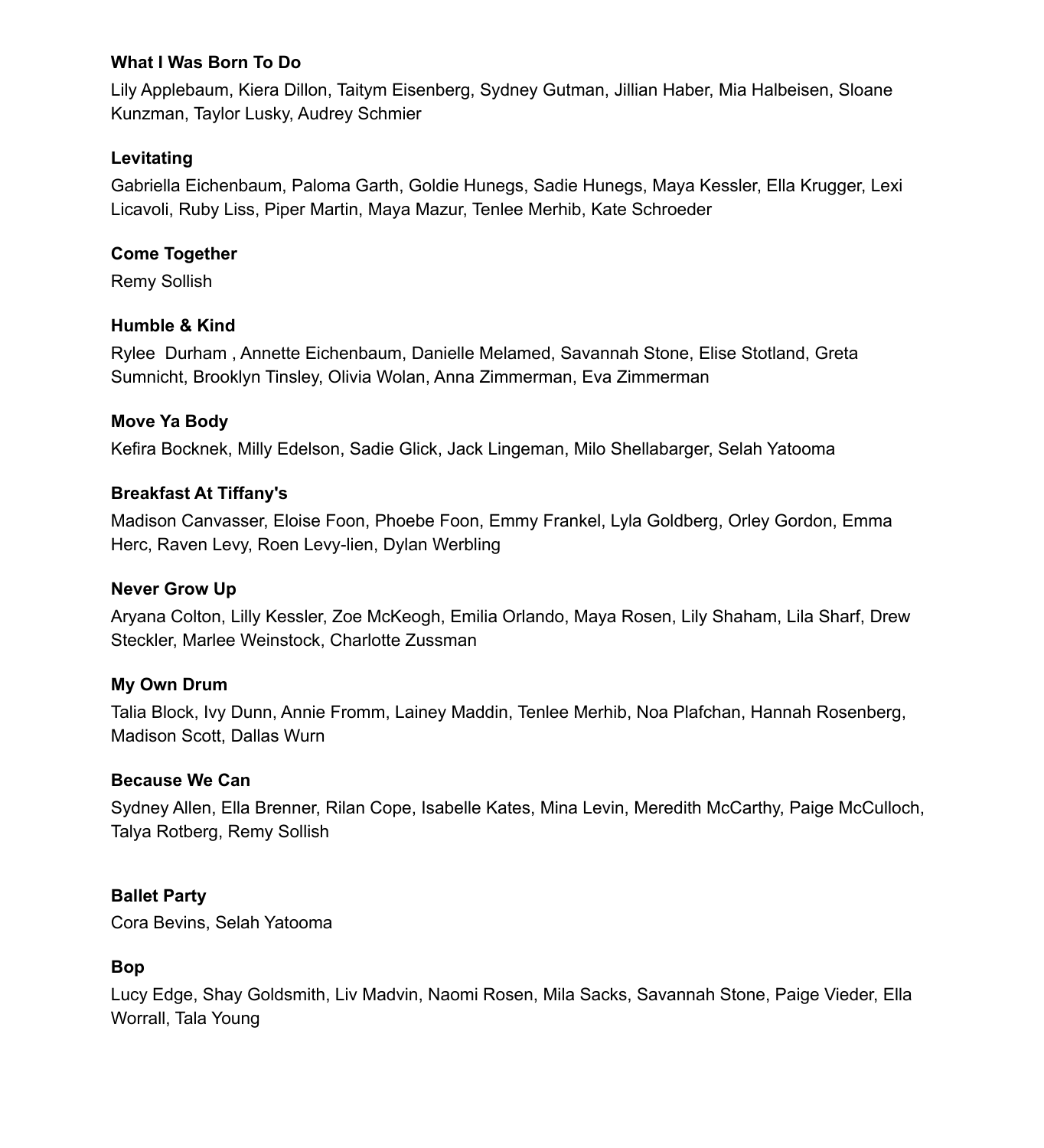## **What I Was Born To Do**

Lily Applebaum, Kiera Dillon, Taitym Eisenberg, Sydney Gutman, Jillian Haber, Mia Halbeisen, Sloane Kunzman, Taylor Lusky, Audrey Schmier

## **Levitating**

Gabriella Eichenbaum, Paloma Garth, Goldie Hunegs, Sadie Hunegs, Maya Kessler, Ella Krugger, Lexi Licavoli, Ruby Liss, Piper Martin, Maya Mazur, Tenlee Merhib, Kate Schroeder

## **Come Together**

Remy Sollish

## **Humble & Kind**

Rylee Durham , Annette Eichenbaum, Danielle Melamed, Savannah Stone, Elise Stotland, Greta Sumnicht, Brooklyn Tinsley, Olivia Wolan, Anna Zimmerman, Eva Zimmerman

## **Move Ya Body**

Kefira Bocknek, Milly Edelson, Sadie Glick, Jack Lingeman, Milo Shellabarger, Selah Yatooma

## **Breakfast At Tiffany's**

Madison Canvasser, Eloise Foon, Phoebe Foon, Emmy Frankel, Lyla Goldberg, Orley Gordon, Emma Herc, Raven Levy, Roen Levy-lien, Dylan Werbling

## **Never Grow Up**

Aryana Colton, Lilly Kessler, Zoe McKeogh, Emilia Orlando, Maya Rosen, Lily Shaham, Lila Sharf, Drew Steckler, Marlee Weinstock, Charlotte Zussman

## **My Own Drum**

Talia Block, Ivy Dunn, Annie Fromm, Lainey Maddin, Tenlee Merhib, Noa Plafchan, Hannah Rosenberg, Madison Scott, Dallas Wurn

## **Because We Can**

Sydney Allen, Ella Brenner, Rilan Cope, Isabelle Kates, Mina Levin, Meredith McCarthy, Paige McCulloch, Talya Rotberg, Remy Sollish

## **Ballet Party**

Cora Bevins, Selah Yatooma

## **Bop**

Lucy Edge, Shay Goldsmith, Liv Madvin, Naomi Rosen, Mila Sacks, Savannah Stone, Paige Vieder, Ella Worrall, Tala Young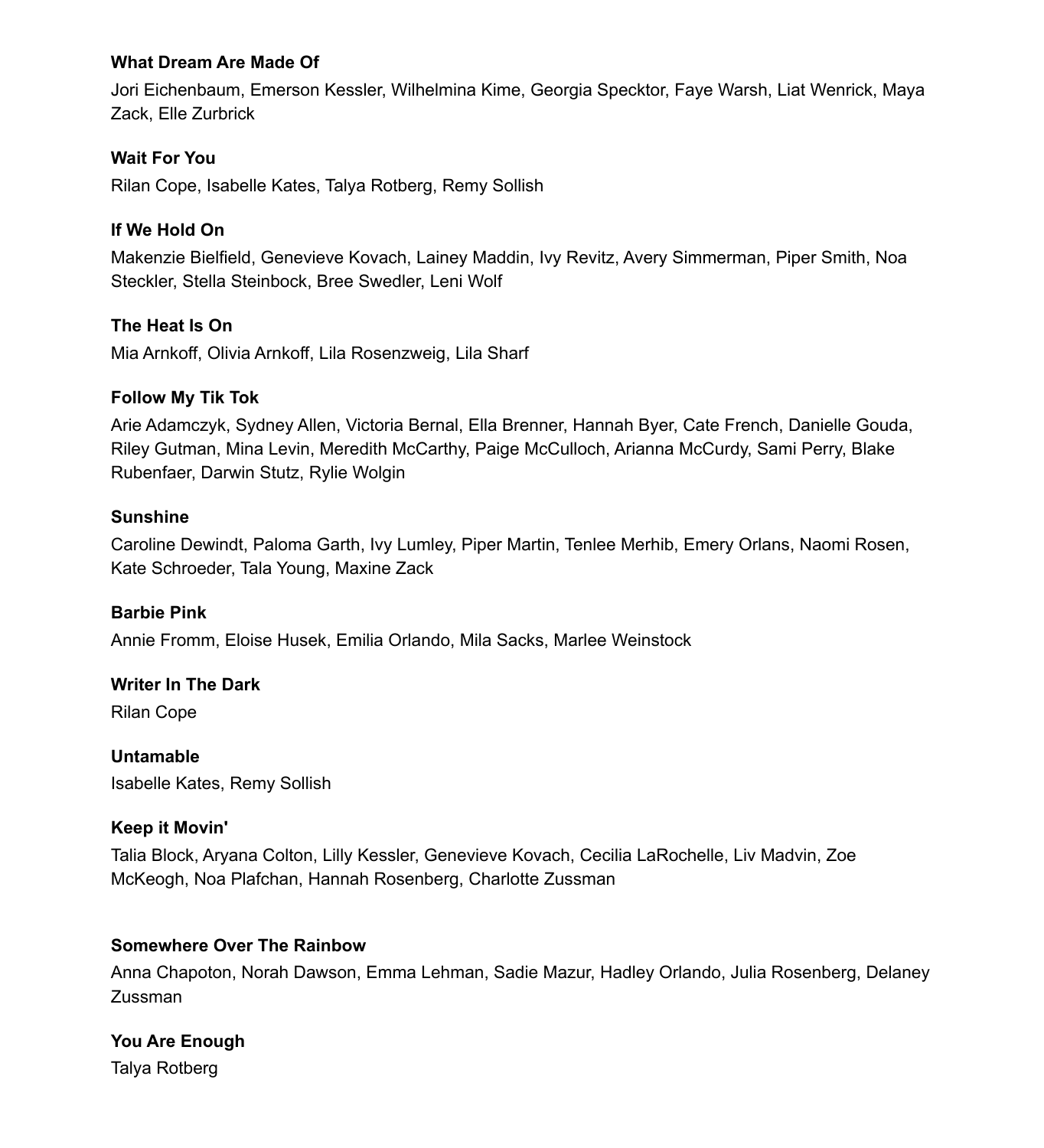### **What Dream Are Made Of**

Jori Eichenbaum, Emerson Kessler, Wilhelmina Kime, Georgia Specktor, Faye Warsh, Liat Wenrick, Maya Zack, Elle Zurbrick

## **Wait For You**

Rilan Cope, Isabelle Kates, Talya Rotberg, Remy Sollish

## **If We Hold On**

Makenzie Bielfield, Genevieve Kovach, Lainey Maddin, Ivy Revitz, Avery Simmerman, Piper Smith, Noa Steckler, Stella Steinbock, Bree Swedler, Leni Wolf

### **The Heat Is On**

Mia Arnkoff, Olivia Arnkoff, Lila Rosenzweig, Lila Sharf

#### **Follow My Tik Tok**

Arie Adamczyk, Sydney Allen, Victoria Bernal, Ella Brenner, Hannah Byer, Cate French, Danielle Gouda, Riley Gutman, Mina Levin, Meredith McCarthy, Paige McCulloch, Arianna McCurdy, Sami Perry, Blake Rubenfaer, Darwin Stutz, Rylie Wolgin

#### **Sunshine**

Caroline Dewindt, Paloma Garth, Ivy Lumley, Piper Martin, Tenlee Merhib, Emery Orlans, Naomi Rosen, Kate Schroeder, Tala Young, Maxine Zack

#### **Barbie Pink**

Annie Fromm, Eloise Husek, Emilia Orlando, Mila Sacks, Marlee Weinstock

#### **Writer In The Dark**

Rilan Cope

**Untamable** Isabelle Kates, Remy Sollish

#### **Keep it Movin'**

Talia Block, Aryana Colton, Lilly Kessler, Genevieve Kovach, Cecilia LaRochelle, Liv Madvin, Zoe McKeogh, Noa Plafchan, Hannah Rosenberg, Charlotte Zussman

#### **Somewhere Over The Rainbow**

Anna Chapoton, Norah Dawson, Emma Lehman, Sadie Mazur, Hadley Orlando, Julia Rosenberg, Delaney Zussman

### **You Are Enough**

Talya Rotberg